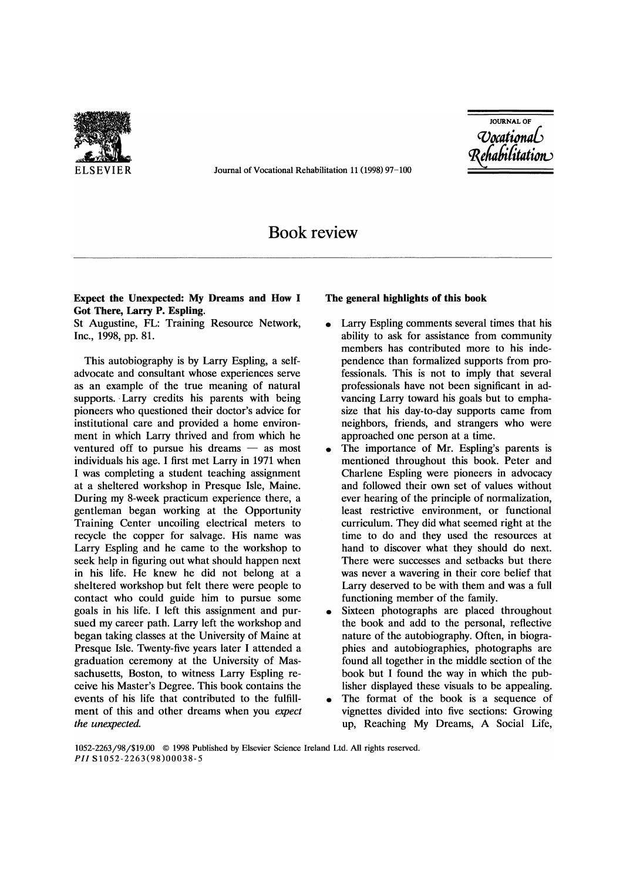

ELSEVIER Journal of Vocational Rehabilitation 11 (1998) 97-100

JOURNAL OF *cvoadi0na6* 

# Book review

# Expect the Unexpected: My Dreams and How I Got There, Larry P. Espling.

St Augustine, FL: Training Resource Network, Inc., 1998, pp. 81.

This autobiography is by Larry Espling, a selfadvocate and consultant whose experiences serve as an example of the true meaning of natural supports. Larry credits his parents with being pioneers who questioned their doctor's advice for institutional care and provided a home environment in which Larry thrived and from which he ventured off to pursue his dreams  $-$  as most individuals his age. I first met Larry in 1971 when I was completing a student teaching assignment at a sheltered workshop in Presque Isle, Maine. During my 8-week practicum experience there, a gentleman began working at the Opportunity Training Center uncoiling electrical meters to recycle the copper for salvage. His name was Larry Espling and he came to the workshop to seek help in figuring out what should happen next in his life. He knew he did not belong at a sheltered workshop but felt there were people to contact who could guide him to pursue some goals in his life. I left this assignment and pursued my career path. Larry left the workshop and began taking classes at the University of Maine at Presque Isle. Twenty-five years later I attended a graduation ceremony at the University of Massachusetts, Boston, to witness Larry Espling receive his Master's Degree. This book contains the events of his life that contributed to the fulfillment of this and other dreams when you *expect the unexpected.* 

#### The general highlights of this book

- Larry Espling comments several times that his ability to ask for assistance from community members has contributed more to his independence than formalized supports from professionals. This is not to imply that several professionals have not been significant in advancing Larry toward his goals but to emphasize that his day-to-day supports came from neighbors, friends, and strangers who were approached one person at a time.
- The importance of Mr. Espling's parents is mentioned throughout this book. Peter and Charlene Espling were pioneers in advocacy and followed their own set of values without ever hearing of the principle of normalization, least restrictive environment, or functional curriculum. They did what seemed right at the time to do and they used the resources at hand to discover what they should do next. There were successes and setbacks but there was never a wavering in their core belief that Larry deserved to be with them and was a full functioning member of the family.
- Sixteen photographs are placed throughout the book and add to the personal, reflective nature of the autobiography. Often, in biographies and autobiographies, photographs are found all together in the middle section of the book but I found the way in which the publisher displayed these visuals to be appealing.
- The format of the book is a sequence of vignettes divided into five sections: Growing up, Reaching My Dreams, A Social Life,

1052-2263/98/\$19.00 © 1998 Published by Elsevier Science Ireland Ltd. All rights reserved. *PH* S1052-2263(98)00038-5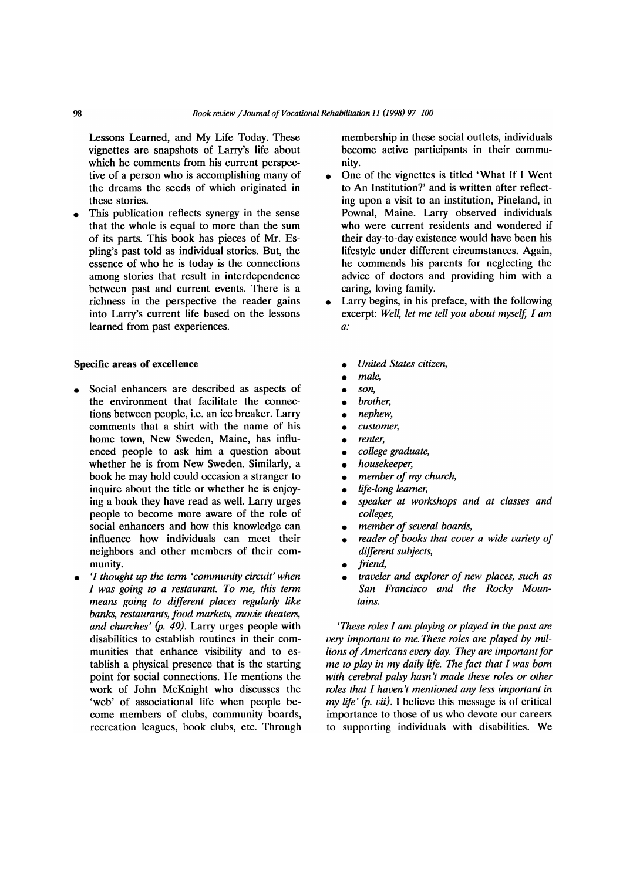Lessons Learned, and My Life Today. These vignettes are snapshots of Larry's life about which he comments from his current perspective of a person who is accomplishing many of the dreams the seeds of which originated in these stories.

This publication reflects synergy in the sense that the whole is equal to more than the sum of its parts. This book has pieces of Mr. Espling's past told as individual stories. But, the essence of who he is today is the connections among stories that result in interdependence between past and current events. There is a richness in the perspective the reader gains into Larry's current life based on the lessons learned from past experiences.

#### Specific areas of excellence

- Social enhancers are described as aspects of the environment that facilitate the connections between people, i.e. an ice breaker. Larry comments that a shirt with the name of his home town, New Sweden, Maine, has influenced people to ask him a question about whether he is from New Sweden. Similarly, a book he may hold could occasion a stranger to inquire about the title or whether he is enjoying a book they have read as well. Larry urges people to become more aware of the role of social enhancers and how this knowledge can influence how individuals can meet their neighbors and other members of their community.
- '[ *thought up the term 'community circuit' when [ was going to a restaurant. To me, this term means going to different places regularly like banks, restaurants, food markets, movie theaters, and churches' (p.* 49). Larry urges people with disabilities to establish routines in their communities that enhance visibility and to establish a physical presence that is the starting point for social connections. He mentions the work of John McKnight who discusses the 'web' of associational life when people become members of clubs, community boards, recreation leagues, book clubs, etc. Through

membership in these social outlets, individuals become active participants in their community.

- One of the vignettes is titled 'What If I Went to An Institution?' and is written after reflecting upon a visit to an institution, Pineland, in Pownal, Maine. Larry observed individuals who were current residents and wondered if their day-to-day existence would have been his lifestyle under different circumstances. Again, he commends his parents for neglecting the advice of doctors and providing him with a caring, loving family.
- Larry begins, in his preface, with the following excerpt: Well, let me tell you about myself, I am *a:* 
	- *United States citizen,*
	- *male,*
	-
	- *son,*  • *brother,*
	-
	- *nephew,*  • *customer,*
	- *renter,*
	- *college graduate,*
	- *housekeeper,*
	- *member of my church,*
	- *life-long learner,*
	- *speaker at workshops and at classes and colleges,*
	- *member of several boards,*
	- *reader of books that cover a wide variety of different subjects,*
	- *friend,*
	- *traveler and explorer of new places, such as San Francisco and the Rocky Mountains.*

*'These roles* [ *am playing or played in the past are very important to me. These roles are played by millions of Americans every day. They are important for me to play in my daily life. The fact that I was born with cerebral palsy hasn't made these roles or other roles that* [ *haven't mentioned any less important in my life' (p. vii).* I believe this message is of critical importance to those of us who devote our careers to supporting individuals with disabilities. We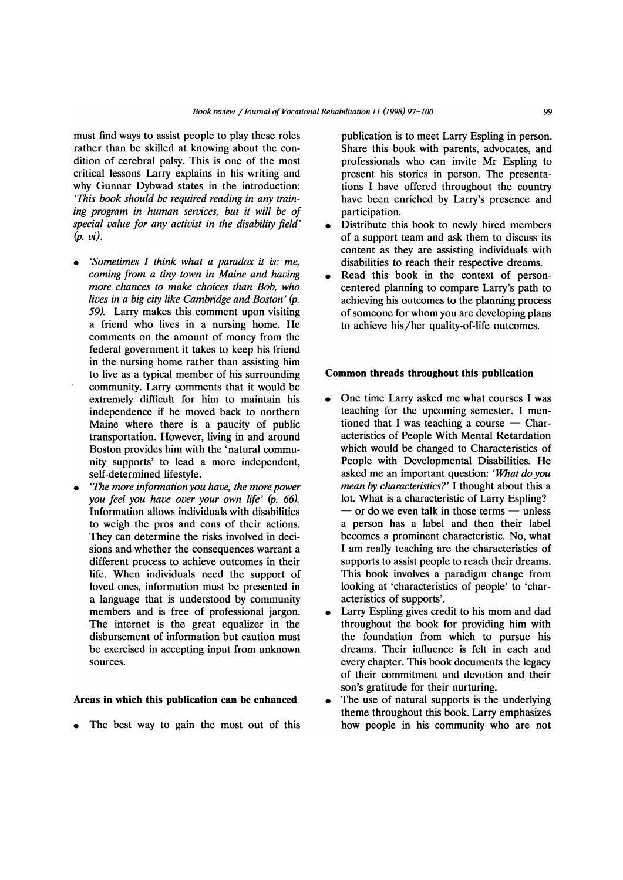must find ways to assist people to play these roles rather than be skilled at knowing about the condition of cerebral palsy. This is one of the most critical lessons Larry explains in his writing and why Gunnar Dybwad states in the introduction: *'This book should be required reading in any training program in human services, but it will be of special value for any activist in the disability field' (p. vi).* 

- *'Sometimes I think what a paradox it is: me, coming from a tiny town in Maine and having more chances to make choices than Bob, who lives in a big city like Cambridge and Boston' (p.*  59). Larry makes this comment upon visiting a friend who lives in a nursing home. He comments on the amount of money from the federal government it takes to keep his friend in the nursing home rather than assisting him to live as a typical member of his surrounding community. Larry comments that it would be extremely difficult for him to maintain his independence if he moved back to northern Maine where there is a paucity of public transportation. However, living in and around Boston provides him with the 'natural community supports' to lead a more independent, self-determined lifestyle.
- *'The more information you have, the more power you feel you have over your own life' (p. 66).*  Information allows individuals with disabilities to weigh the pros and cons of their actions. They can determine the risks involved in decisions and whether the consequences warrant a different process to achieve outcomes in their life. When individuals need the support of loved ones, information must be presented in a language that is understood by community members and is free of professional jargon. The internet is the great equalizer in the disbursement of information but caution must be exercised in accepting input from unknown sources.

#### Areas in which this publication can be enhanced

The best way to gain the most out of this

publication is to meet Larry Espling in person. . Share this book with parents, advocates, and professionals who can invite Mr Espling to present his stories in person. The presentations I have offered throughout the country have been enriched by Larry's presence and participation.

- Distribute this book to newly hired members of a support team and ask them to discuss its content as they are assisting individuals with disabilities to reach their respective dreams.
- Read this book in the context of personcentered planning to compare Larry's path to achieving his outcomes to the planning process of someone for whom you are developing plans to achieve his/her quality-of-life outcomes.

### Common threads throughout this publication

- One time Larry asked me what courses I was teaching for the upcoming semester. I mentioned that I was teaching a course  $-$  Characteristics of People With Mental Retardation which would be changed to Characteristics of People with Developmental Disabilities. He asked me an important question: *'What do you mean by characteristics?'* I thought about this a lot. What is a characteristic of Larry Espling?  $-$  or do we even talk in those terms  $-$  unless a person has a label and then their label becomes a prominent characteristic. No, what I am really teaching are the characteristics of supports to assist people to reach their dreams. This book involves a paradigm change from looking at 'characteristics of people' to 'characteristics of supports'.
- Larry Espling gives credit to his mom and dad throughout the book for providing him with the foundation from which to pursue his dreams. Their influence is felt in each and every chapter. This book documents the legacy of their commitment and devotion and their son's gratitude for their nurturing.
- The use of natural supports is the underlying theme throughout this book. Larry emphasizes how people in his community who are not